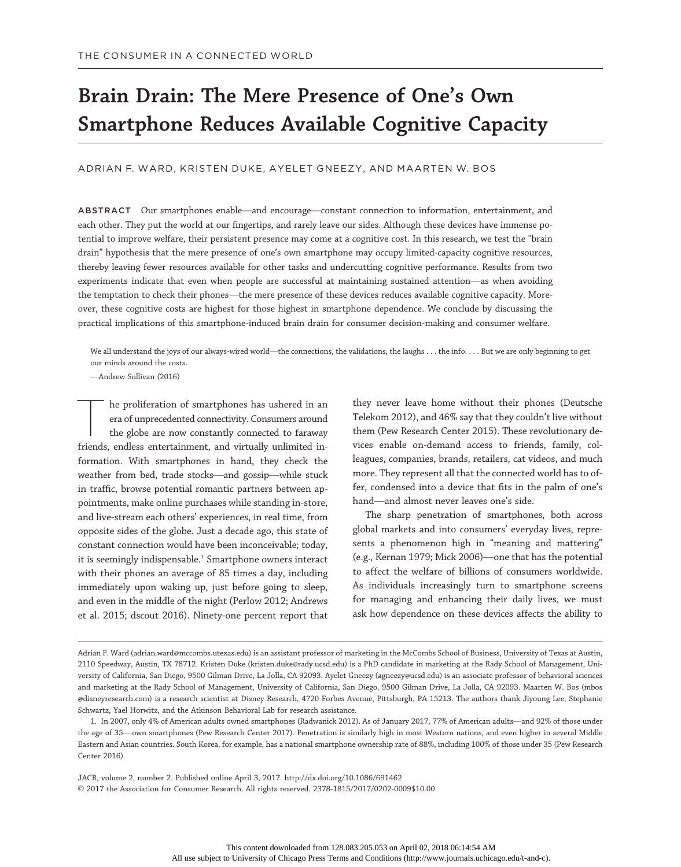# Brain Drain: The Mere Presence of One's Own Smartphone Reduces Available Cognitive Capacity

## ADRIAN F. WARD, KRISTEN DUKE, AYELET GNEEZY, AND MAARTEN W. BOS

ABSTRACT Our smartphones enable—and encourage—constant connection to information, entertainment, and each other. They put the world at our fingertips, and rarely leave our sides. Although these devices have immense potential to improve welfare, their persistent presence may come at a cognitive cost. In this research, we test the "brain drain" hypothesis that the mere presence of one's own smartphone may occupy limited-capacity cognitive resources, thereby leaving fewer resources available for other tasks and undercutting cognitive performance. Results from two experiments indicate that even when people are successful at maintaining sustained attention—as when avoiding the temptation to check their phones—the mere presence of these devices reduces available cognitive capacity. Moreover, these cognitive costs are highest for those highest in smartphone dependence. We conclude by discussing the practical implications of this smartphone-induced brain drain for consumer decision-making and consumer welfare.

We all understand the joys of our always-wired world—the connections, the validations, the laughs . . . the info. . . . But we are only beginning to get our minds around the costs.

—Andrew Sullivan (2016)

The proliferation of smartphones has ushered in an era of unprecedented connectivity. Consumers around the globe are now constantly connected to faraway era of unprecedented connectivity. Consumers around the globe are now constantly connected to faraway friends, endless entertainment, and virtually unlimited information. With smartphones in hand, they check the weather from bed, trade stocks—and gossip—while stuck in traffic, browse potential romantic partners between appointments, make online purchases while standing in-store, and live-stream each others' experiences, in real time, from opposite sides of the globe. Just a decade ago, this state of constant connection would have been inconceivable; today, it is seemingly indispensable.<sup>1</sup> Smartphone owners interact with their phones an average of 85 times a day, including immediately upon waking up, just before going to sleep, and even in the middle of the night (Perlow 2012; Andrews et al. 2015; dscout 2016). Ninety-one percent report that

they never leave home without their phones (Deutsche Telekom 2012), and 46% say that they couldn't live without them (Pew Research Center 2015). These revolutionary devices enable on-demand access to friends, family, colleagues, companies, brands, retailers, cat videos, and much more. They represent all that the connected world has to offer, condensed into a device that fits in the palm of one's hand—and almost never leaves one's side.

The sharp penetration of smartphones, both across global markets and into consumers' everyday lives, represents a phenomenon high in "meaning and mattering" (e.g., Kernan 1979; Mick 2006)—one that has the potential to affect the welfare of billions of consumers worldwide. As individuals increasingly turn to smartphone screens for managing and enhancing their daily lives, we must ask how dependence on these devices affects the ability to

JACR, volume 2, number 2. Published online April 3, 2017. http://dx.doi.org/10.1086/691462 © 2017 the Association for Consumer Research. All rights reserved. 2378-1815/2017/0202-0009\$10.00

Adrian F. Ward (adrian.ward@mccombs.utexas.edu) is an assistant professor of marketing in the McCombs School of Business, University of Texas at Austin, 2110 Speedway, Austin, TX 78712. Kristen Duke (kristen.duke@rady.ucsd.edu) is a PhD candidate in marketing at the Rady School of Management, University of California, San Diego, 9500 Gilman Drive, La Jolla, CA 92093. Ayelet Gneezy (agneezy@ucsd.edu) is an associate professor of behavioral sciences and marketing at the Rady School of Management, University of California, San Diego, 9500 Gilman Drive, La Jolla, CA 92093. Maarten W. Bos (mbos @disneyresearch.com) is a research scientist at Disney Research, 4720 Forbes Avenue, Pittsburgh, PA 15213. The authors thank Jiyoung Lee, Stephanie Schwartz, Yael Horwitz, and the Atkinson Behavioral Lab for research assistance.

<sup>1.</sup> In 2007, only 4% of American adults owned smartphones (Radwanick 2012). As of January 2017, 77% of American adults—and 92% of those under the age of 35—own smartphones (Pew Research Center 2017). Penetration is similarly high in most Western nations, and even higher in several Middle Eastern and Asian countries. South Korea, for example, has a national smartphone ownership rate of 88%, including 100% of those under 35 (Pew Research Center 2016).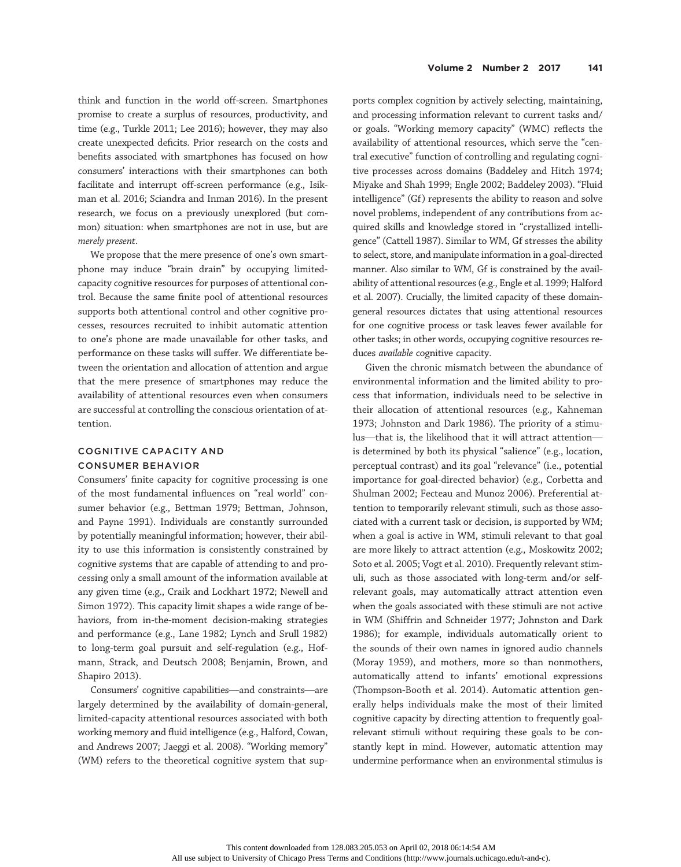think and function in the world off-screen. Smartphones promise to create a surplus of resources, productivity, and time (e.g., Turkle 2011; Lee 2016); however, they may also create unexpected deficits. Prior research on the costs and benefits associated with smartphones has focused on how consumers' interactions with their smartphones can both facilitate and interrupt off-screen performance (e.g., Isikman et al. 2016; Sciandra and Inman 2016). In the present research, we focus on a previously unexplored (but common) situation: when smartphones are not in use, but are merely present.

We propose that the mere presence of one's own smartphone may induce "brain drain" by occupying limitedcapacity cognitive resources for purposes of attentional control. Because the same finite pool of attentional resources supports both attentional control and other cognitive processes, resources recruited to inhibit automatic attention to one's phone are made unavailable for other tasks, and performance on these tasks will suffer. We differentiate between the orientation and allocation of attention and argue that the mere presence of smartphones may reduce the availability of attentional resources even when consumers are successful at controlling the conscious orientation of attention.

# COGNITIVE CAPACITY AND CONSUMER BEHAVIOR

Consumers' finite capacity for cognitive processing is one of the most fundamental influences on "real world" consumer behavior (e.g., Bettman 1979; Bettman, Johnson, and Payne 1991). Individuals are constantly surrounded by potentially meaningful information; however, their ability to use this information is consistently constrained by cognitive systems that are capable of attending to and processing only a small amount of the information available at any given time (e.g., Craik and Lockhart 1972; Newell and Simon 1972). This capacity limit shapes a wide range of behaviors, from in-the-moment decision-making strategies and performance (e.g., Lane 1982; Lynch and Srull 1982) to long-term goal pursuit and self-regulation (e.g., Hofmann, Strack, and Deutsch 2008; Benjamin, Brown, and Shapiro 2013).

Consumers' cognitive capabilities—and constraints—are largely determined by the availability of domain-general, limited-capacity attentional resources associated with both working memory and fluid intelligence (e.g., Halford, Cowan, and Andrews 2007; Jaeggi et al. 2008). "Working memory" (WM) refers to the theoretical cognitive system that sup-

ports complex cognition by actively selecting, maintaining, and processing information relevant to current tasks and/ or goals. "Working memory capacity" (WMC) reflects the availability of attentional resources, which serve the "central executive" function of controlling and regulating cognitive processes across domains (Baddeley and Hitch 1974; Miyake and Shah 1999; Engle 2002; Baddeley 2003). "Fluid intelligence" (Gf) represents the ability to reason and solve novel problems, independent of any contributions from acquired skills and knowledge stored in "crystallized intelligence" (Cattell 1987). Similar to WM, Gf stresses the ability to select, store, and manipulate information in a goal-directed manner. Also similar to WM, Gf is constrained by the availability of attentional resources (e.g., Engle et al. 1999; Halford et al. 2007). Crucially, the limited capacity of these domaingeneral resources dictates that using attentional resources for one cognitive process or task leaves fewer available for other tasks; in other words, occupying cognitive resources reduces available cognitive capacity.

Given the chronic mismatch between the abundance of environmental information and the limited ability to process that information, individuals need to be selective in their allocation of attentional resources (e.g., Kahneman 1973; Johnston and Dark 1986). The priority of a stimulus—that is, the likelihood that it will attract attention is determined by both its physical "salience" (e.g., location, perceptual contrast) and its goal "relevance" (i.e., potential importance for goal-directed behavior) (e.g., Corbetta and Shulman 2002; Fecteau and Munoz 2006). Preferential attention to temporarily relevant stimuli, such as those associated with a current task or decision, is supported by WM; when a goal is active in WM, stimuli relevant to that goal are more likely to attract attention (e.g., Moskowitz 2002; Soto et al. 2005; Vogt et al. 2010). Frequently relevant stimuli, such as those associated with long-term and/or selfrelevant goals, may automatically attract attention even when the goals associated with these stimuli are not active in WM (Shiffrin and Schneider 1977; Johnston and Dark 1986); for example, individuals automatically orient to the sounds of their own names in ignored audio channels (Moray 1959), and mothers, more so than nonmothers, automatically attend to infants' emotional expressions (Thompson-Booth et al. 2014). Automatic attention generally helps individuals make the most of their limited cognitive capacity by directing attention to frequently goalrelevant stimuli without requiring these goals to be constantly kept in mind. However, automatic attention may undermine performance when an environmental stimulus is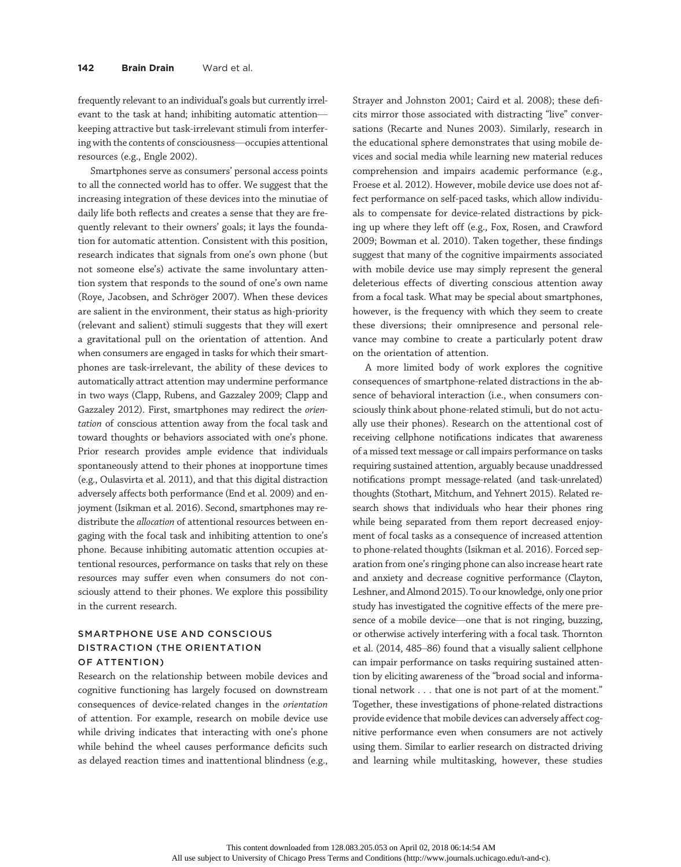frequently relevant to an individual's goals but currently irrelevant to the task at hand; inhibiting automatic attention keeping attractive but task-irrelevant stimuli from interfering with the contents of consciousness—occupies attentional resources (e.g., Engle 2002).

Smartphones serve as consumers' personal access points to all the connected world has to offer. We suggest that the increasing integration of these devices into the minutiae of daily life both reflects and creates a sense that they are frequently relevant to their owners' goals; it lays the foundation for automatic attention. Consistent with this position, research indicates that signals from one's own phone ( but not someone else's) activate the same involuntary attention system that responds to the sound of one's own name (Roye, Jacobsen, and Schröger 2007). When these devices are salient in the environment, their status as high-priority (relevant and salient) stimuli suggests that they will exert a gravitational pull on the orientation of attention. And when consumers are engaged in tasks for which their smartphones are task-irrelevant, the ability of these devices to automatically attract attention may undermine performance in two ways (Clapp, Rubens, and Gazzaley 2009; Clapp and Gazzaley 2012). First, smartphones may redirect the orientation of conscious attention away from the focal task and toward thoughts or behaviors associated with one's phone. Prior research provides ample evidence that individuals spontaneously attend to their phones at inopportune times (e.g., Oulasvirta et al. 2011), and that this digital distraction adversely affects both performance (End et al. 2009) and enjoyment (Isikman et al. 2016). Second, smartphones may redistribute the allocation of attentional resources between engaging with the focal task and inhibiting attention to one's phone. Because inhibiting automatic attention occupies attentional resources, performance on tasks that rely on these resources may suffer even when consumers do not consciously attend to their phones. We explore this possibility in the current research.

## SMARTPHONE USE AND CONSCIOUS DISTRACTION (THE ORIENTATION OF ATTENTION)

Research on the relationship between mobile devices and cognitive functioning has largely focused on downstream consequences of device-related changes in the orientation of attention. For example, research on mobile device use while driving indicates that interacting with one's phone while behind the wheel causes performance deficits such as delayed reaction times and inattentional blindness (e.g.,

Strayer and Johnston 2001; Caird et al. 2008); these deficits mirror those associated with distracting "live" conversations (Recarte and Nunes 2003). Similarly, research in the educational sphere demonstrates that using mobile devices and social media while learning new material reduces comprehension and impairs academic performance (e.g., Froese et al. 2012). However, mobile device use does not affect performance on self-paced tasks, which allow individuals to compensate for device-related distractions by picking up where they left off (e.g., Fox, Rosen, and Crawford 2009; Bowman et al. 2010). Taken together, these findings suggest that many of the cognitive impairments associated with mobile device use may simply represent the general deleterious effects of diverting conscious attention away from a focal task. What may be special about smartphones, however, is the frequency with which they seem to create these diversions; their omnipresence and personal relevance may combine to create a particularly potent draw on the orientation of attention.

A more limited body of work explores the cognitive consequences of smartphone-related distractions in the absence of behavioral interaction (i.e., when consumers consciously think about phone-related stimuli, but do not actually use their phones). Research on the attentional cost of receiving cellphone notifications indicates that awareness of a missed text message or call impairs performance on tasks requiring sustained attention, arguably because unaddressed notifications prompt message-related (and task-unrelated) thoughts (Stothart, Mitchum, and Yehnert 2015). Related research shows that individuals who hear their phones ring while being separated from them report decreased enjoyment of focal tasks as a consequence of increased attention to phone-related thoughts (Isikman et al. 2016). Forced separation from one's ringing phone can also increase heart rate and anxiety and decrease cognitive performance (Clayton, Leshner, and Almond 2015). To our knowledge, only one prior study has investigated the cognitive effects of the mere presence of a mobile device—one that is not ringing, buzzing, or otherwise actively interfering with a focal task. Thornton et al. (2014, 485–86) found that a visually salient cellphone can impair performance on tasks requiring sustained attention by eliciting awareness of the "broad social and informational network ... that one is not part of at the moment." Together, these investigations of phone-related distractions provide evidence that mobile devices can adversely affect cognitive performance even when consumers are not actively using them. Similar to earlier research on distracted driving and learning while multitasking, however, these studies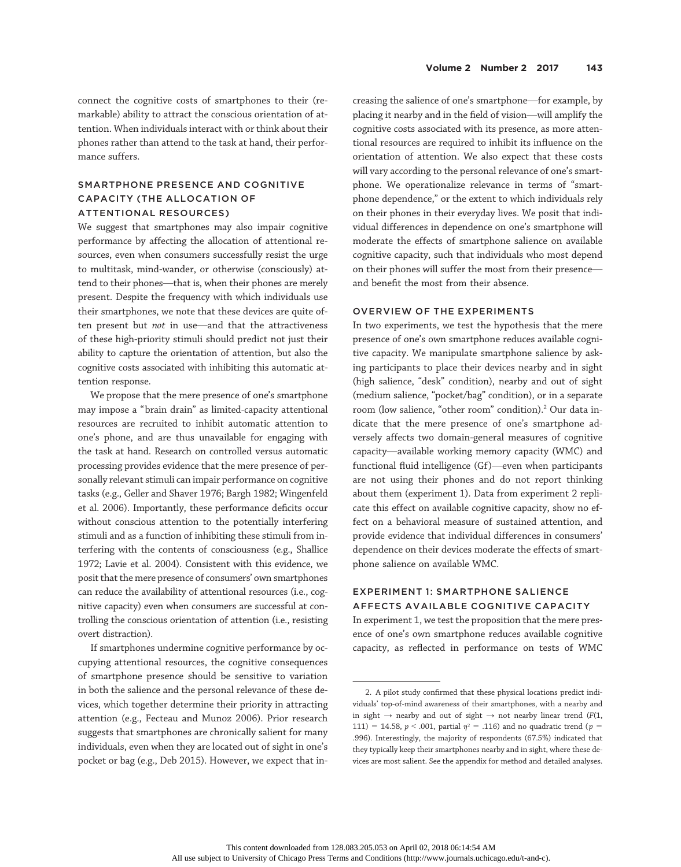connect the cognitive costs of smartphones to their (remarkable) ability to attract the conscious orientation of attention. When individuals interact with or think about their phones rather than attend to the task at hand, their performance suffers.

# SMARTPHONE PRESENCE AND COGNITIVE CAPACITY (THE ALLOCATION OF ATTENTIONAL RESOURCES)

We suggest that smartphones may also impair cognitive performance by affecting the allocation of attentional resources, even when consumers successfully resist the urge to multitask, mind-wander, or otherwise (consciously) attend to their phones—that is, when their phones are merely present. Despite the frequency with which individuals use their smartphones, we note that these devices are quite often present but not in use—and that the attractiveness of these high-priority stimuli should predict not just their ability to capture the orientation of attention, but also the cognitive costs associated with inhibiting this automatic attention response.

We propose that the mere presence of one's smartphone may impose a "brain drain" as limited-capacity attentional resources are recruited to inhibit automatic attention to one's phone, and are thus unavailable for engaging with the task at hand. Research on controlled versus automatic processing provides evidence that the mere presence of personally relevant stimuli can impair performance on cognitive tasks (e.g., Geller and Shaver 1976; Bargh 1982; Wingenfeld et al. 2006). Importantly, these performance deficits occur without conscious attention to the potentially interfering stimuli and as a function of inhibiting these stimuli from interfering with the contents of consciousness (e.g., Shallice 1972; Lavie et al. 2004). Consistent with this evidence, we posit that the mere presence of consumers' own smartphones can reduce the availability of attentional resources (i.e., cognitive capacity) even when consumers are successful at controlling the conscious orientation of attention (i.e., resisting overt distraction).

If smartphones undermine cognitive performance by occupying attentional resources, the cognitive consequences of smartphone presence should be sensitive to variation in both the salience and the personal relevance of these devices, which together determine their priority in attracting attention (e.g., Fecteau and Munoz 2006). Prior research suggests that smartphones are chronically salient for many individuals, even when they are located out of sight in one's pocket or bag (e.g., Deb 2015). However, we expect that in-

creasing the salience of one's smartphone—for example, by placing it nearby and in the field of vision—will amplify the cognitive costs associated with its presence, as more attentional resources are required to inhibit its influence on the orientation of attention. We also expect that these costs will vary according to the personal relevance of one's smartphone. We operationalize relevance in terms of "smartphone dependence," or the extent to which individuals rely on their phones in their everyday lives. We posit that individual differences in dependence on one's smartphone will moderate the effects of smartphone salience on available cognitive capacity, such that individuals who most depend on their phones will suffer the most from their presence and benefit the most from their absence.

## OVERVIEW OF THE EXPERIMENTS

In two experiments, we test the hypothesis that the mere presence of one's own smartphone reduces available cognitive capacity. We manipulate smartphone salience by asking participants to place their devices nearby and in sight (high salience, "desk" condition), nearby and out of sight (medium salience, "pocket/bag" condition), or in a separate room (low salience, "other room" condition).2 Our data indicate that the mere presence of one's smartphone adversely affects two domain-general measures of cognitive capacity—available working memory capacity (WMC) and functional fluid intelligence (Gf)—even when participants are not using their phones and do not report thinking about them (experiment 1). Data from experiment 2 replicate this effect on available cognitive capacity, show no effect on a behavioral measure of sustained attention, and provide evidence that individual differences in consumers' dependence on their devices moderate the effects of smartphone salience on available WMC.

## EXPERIMENT 1: SMARTPHONE SALIENCE AFFECTS AVAILABLE COGNITIVE CAPACITY

In experiment 1, we test the proposition that the mere presence of one's own smartphone reduces available cognitive capacity, as reflected in performance on tests of WMC

<sup>2.</sup> A pilot study confirmed that these physical locations predict individuals' top-of-mind awareness of their smartphones, with a nearby and in sight  $\rightarrow$  nearby and out of sight  $\rightarrow$  not nearby linear trend (F(1, 111) = 14.58,  $p < .001$ , partial  $\eta^2 = .116$ ) and no quadratic trend ( $p =$ .996). Interestingly, the majority of respondents (67.5%) indicated that they typically keep their smartphones nearby and in sight, where these devices are most salient. See the appendix for method and detailed analyses.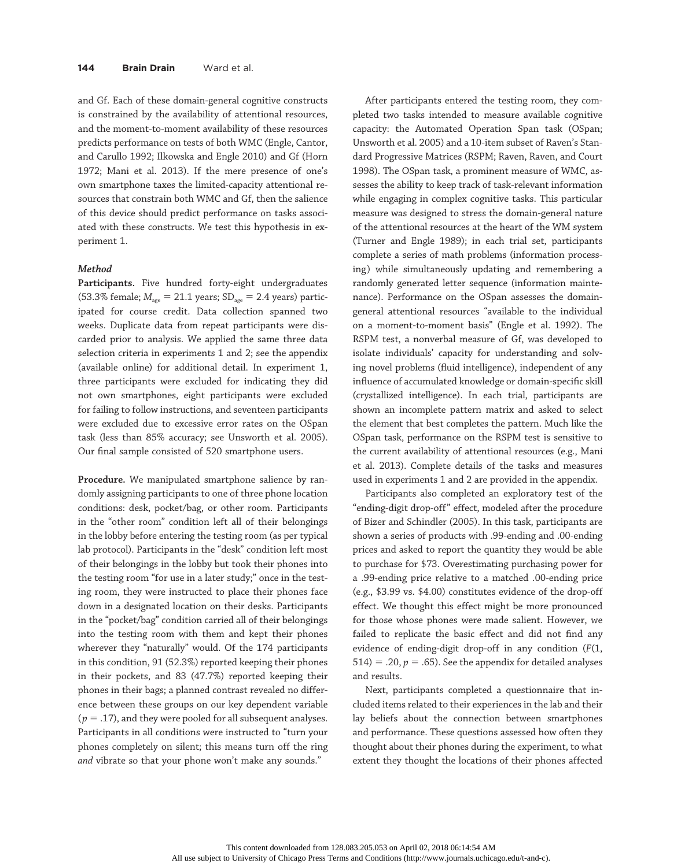and Gf. Each of these domain-general cognitive constructs is constrained by the availability of attentional resources, and the moment-to-moment availability of these resources predicts performance on tests of both WMC (Engle, Cantor, and Carullo 1992; Ilkowska and Engle 2010) and Gf (Horn 1972; Mani et al. 2013). If the mere presence of one's own smartphone taxes the limited-capacity attentional resources that constrain both WMC and Gf, then the salience of this device should predict performance on tasks associated with these constructs. We test this hypothesis in experiment 1.

#### Method

Participants. Five hundred forty-eight undergraduates (53.3% female;  $M_{\text{age}} = 21.1$  years;  $SD_{\text{age}} = 2.4$  years) participated for course credit. Data collection spanned two weeks. Duplicate data from repeat participants were discarded prior to analysis. We applied the same three data selection criteria in experiments 1 and 2; see the appendix (available online) for additional detail. In experiment 1, three participants were excluded for indicating they did not own smartphones, eight participants were excluded for failing to follow instructions, and seventeen participants were excluded due to excessive error rates on the OSpan task (less than 85% accuracy; see Unsworth et al. 2005). Our final sample consisted of 520 smartphone users.

Procedure. We manipulated smartphone salience by randomly assigning participants to one of three phone location conditions: desk, pocket/bag, or other room. Participants in the "other room" condition left all of their belongings in the lobby before entering the testing room (as per typical lab protocol). Participants in the "desk" condition left most of their belongings in the lobby but took their phones into the testing room "for use in a later study;" once in the testing room, they were instructed to place their phones face down in a designated location on their desks. Participants in the "pocket/bag" condition carried all of their belongings into the testing room with them and kept their phones wherever they "naturally" would. Of the 174 participants in this condition, 91 (52.3%) reported keeping their phones in their pockets, and 83 (47.7%) reported keeping their phones in their bags; a planned contrast revealed no difference between these groups on our key dependent variable  $(p = .17)$ , and they were pooled for all subsequent analyses. Participants in all conditions were instructed to "turn your phones completely on silent; this means turn off the ring and vibrate so that your phone won't make any sounds."

After participants entered the testing room, they completed two tasks intended to measure available cognitive capacity: the Automated Operation Span task (OSpan; Unsworth et al. 2005) and a 10-item subset of Raven's Standard Progressive Matrices (RSPM; Raven, Raven, and Court 1998). The OSpan task, a prominent measure of WMC, assesses the ability to keep track of task-relevant information while engaging in complex cognitive tasks. This particular measure was designed to stress the domain-general nature of the attentional resources at the heart of the WM system (Turner and Engle 1989); in each trial set, participants complete a series of math problems (information processing) while simultaneously updating and remembering a randomly generated letter sequence (information maintenance). Performance on the OSpan assesses the domaingeneral attentional resources "available to the individual on a moment-to-moment basis" (Engle et al. 1992). The RSPM test, a nonverbal measure of Gf, was developed to isolate individuals' capacity for understanding and solving novel problems (fluid intelligence), independent of any influence of accumulated knowledge or domain-specific skill (crystallized intelligence). In each trial, participants are shown an incomplete pattern matrix and asked to select the element that best completes the pattern. Much like the OSpan task, performance on the RSPM test is sensitive to the current availability of attentional resources (e.g., Mani et al. 2013). Complete details of the tasks and measures used in experiments 1 and 2 are provided in the appendix.

Participants also completed an exploratory test of the "ending-digit drop-off" effect, modeled after the procedure of Bizer and Schindler (2005). In this task, participants are shown a series of products with .99-ending and .00-ending prices and asked to report the quantity they would be able to purchase for \$73. Overestimating purchasing power for a .99-ending price relative to a matched .00-ending price (e.g., \$3.99 vs. \$4.00) constitutes evidence of the drop-off effect. We thought this effect might be more pronounced for those whose phones were made salient. However, we failed to replicate the basic effect and did not find any evidence of ending-digit drop-off in any condition (F(1, 514) = .20,  $p = .65$ ). See the appendix for detailed analyses and results.

Next, participants completed a questionnaire that included items related to their experiences in the lab and their lay beliefs about the connection between smartphones and performance. These questions assessed how often they thought about their phones during the experiment, to what extent they thought the locations of their phones affected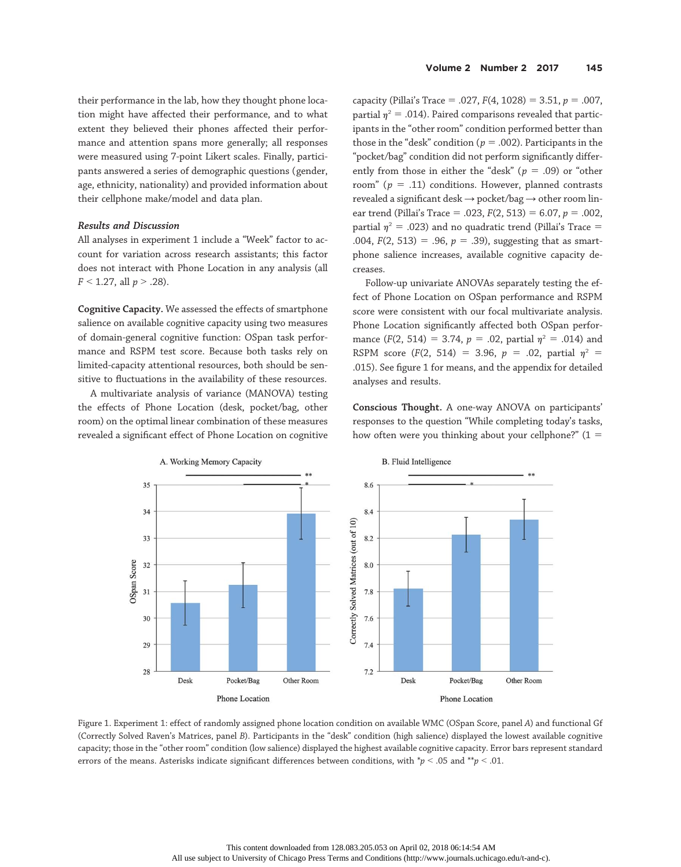their performance in the lab, how they thought phone location might have affected their performance, and to what extent they believed their phones affected their performance and attention spans more generally; all responses were measured using 7-point Likert scales. Finally, participants answered a series of demographic questions (gender, age, ethnicity, nationality) and provided information about their cellphone make/model and data plan.

## Results and Discussion

All analyses in experiment 1 include a "Week" factor to account for variation across research assistants; this factor does not interact with Phone Location in any analysis (all  $F < 1.27$ , all  $p > .28$ ).

Cognitive Capacity. We assessed the effects of smartphone salience on available cognitive capacity using two measures of domain-general cognitive function: OSpan task performance and RSPM test score. Because both tasks rely on limited-capacity attentional resources, both should be sensitive to fluctuations in the availability of these resources.

A multivariate analysis of variance (MANOVA) testing the effects of Phone Location (desk, pocket/bag, other room) on the optimal linear combination of these measures revealed a significant effect of Phone Location on cognitive

capacity (Pillai's Trace = .027,  $F(4, 1028) = 3.51, p = .007$ , partial  $\eta^2 = .014$ ). Paired comparisons revealed that participants in the "other room" condition performed better than those in the "desk" condition ( $p = .002$ ). Participants in the "pocket/bag" condition did not perform significantly differently from those in either the "desk" ( $p = .09$ ) or "other room" ( $p = .11$ ) conditions. However, planned contrasts revealed a significant desk  $\rightarrow$  pocket/bag  $\rightarrow$  other room linear trend (Pillai's Trace = .023,  $F(2, 513) = 6.07$ ,  $p = .002$ , partial  $\eta^2$  = .023) and no quadratic trend (Pillai's Trace = .004,  $F(2, 513) = .96$ ,  $p = .39$ ), suggesting that as smartphone salience increases, available cognitive capacity decreases.

Follow-up univariate ANOVAs separately testing the effect of Phone Location on OSpan performance and RSPM score were consistent with our focal multivariate analysis. Phone Location significantly affected both OSpan performance (F(2, 514) = 3.74,  $p = .02$ , partial  $\eta^2 = .014$ ) and RSPM score (F(2, 514) = 3.96,  $p = .02$ , partial  $\eta^2$  = .015). See figure 1 for means, and the appendix for detailed analyses and results.

Conscious Thought. A one-way ANOVA on participants' responses to the question "While completing today's tasks, how often were you thinking about your cellphone?"  $(1 =$ 



Figure 1. Experiment 1: effect of randomly assigned phone location condition on available WMC (OSpan Score, panel A) and functional Gf (Correctly Solved Raven's Matrices, panel B). Participants in the "desk" condition (high salience) displayed the lowest available cognitive capacity; those in the "other room" condition (low salience) displayed the highest available cognitive capacity. Error bars represent standard errors of the means. Asterisks indicate significant differences between conditions, with  $^*p < .05$  and  $^{**}p < .01$ .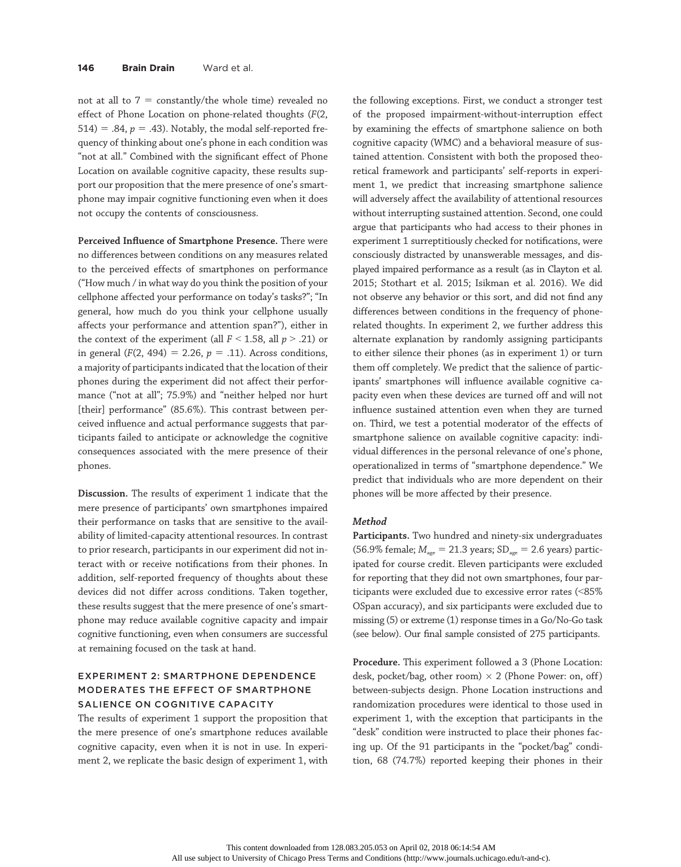not at all to  $7 =$  constantly/the whole time) revealed no effect of Phone Location on phone-related thoughts (F(2, 514) = .84,  $p = .43$ ). Notably, the modal self-reported frequency of thinking about one's phone in each condition was "not at all." Combined with the significant effect of Phone Location on available cognitive capacity, these results support our proposition that the mere presence of one's smartphone may impair cognitive functioning even when it does not occupy the contents of consciousness.

Perceived Influence of Smartphone Presence. There were no differences between conditions on any measures related to the perceived effects of smartphones on performance ("How much / in what way do you think the position of your cellphone affected your performance on today's tasks?"; "In general, how much do you think your cellphone usually affects your performance and attention span?"), either in the context of the experiment (all  $F < 1.58$ , all  $p > .21$ ) or in general ( $F(2, 494) = 2.26$ ,  $p = .11$ ). Across conditions, a majority of participants indicated that the location of their phones during the experiment did not affect their performance ("not at all"; 75.9%) and "neither helped nor hurt [their] performance" (85.6%). This contrast between perceived influence and actual performance suggests that participants failed to anticipate or acknowledge the cognitive consequences associated with the mere presence of their phones.

Discussion. The results of experiment 1 indicate that the mere presence of participants' own smartphones impaired their performance on tasks that are sensitive to the availability of limited-capacity attentional resources. In contrast to prior research, participants in our experiment did not interact with or receive notifications from their phones. In addition, self-reported frequency of thoughts about these devices did not differ across conditions. Taken together, these results suggest that the mere presence of one's smartphone may reduce available cognitive capacity and impair cognitive functioning, even when consumers are successful at remaining focused on the task at hand.

# EXPERIMENT 2: SMARTPHONE DEPENDENCE MODERATES THE EFFECT OF SMARTPHONE SALIENCE ON COGNITIVE CAPACITY

The results of experiment 1 support the proposition that the mere presence of one's smartphone reduces available cognitive capacity, even when it is not in use. In experiment 2, we replicate the basic design of experiment 1, with

the following exceptions. First, we conduct a stronger test of the proposed impairment-without-interruption effect by examining the effects of smartphone salience on both cognitive capacity (WMC) and a behavioral measure of sustained attention. Consistent with both the proposed theoretical framework and participants' self-reports in experiment 1, we predict that increasing smartphone salience will adversely affect the availability of attentional resources without interrupting sustained attention. Second, one could argue that participants who had access to their phones in experiment 1 surreptitiously checked for notifications, were consciously distracted by unanswerable messages, and displayed impaired performance as a result (as in Clayton et al. 2015; Stothart et al. 2015; Isikman et al. 2016). We did not observe any behavior or this sort, and did not find any differences between conditions in the frequency of phonerelated thoughts. In experiment 2, we further address this alternate explanation by randomly assigning participants to either silence their phones (as in experiment 1) or turn them off completely. We predict that the salience of participants' smartphones will influence available cognitive capacity even when these devices are turned off and will not influence sustained attention even when they are turned on. Third, we test a potential moderator of the effects of smartphone salience on available cognitive capacity: individual differences in the personal relevance of one's phone, operationalized in terms of "smartphone dependence." We predict that individuals who are more dependent on their phones will be more affected by their presence.

## Method

Participants. Two hundred and ninety-six undergraduates (56.9% female;  $M_{\text{age}} = 21.3$  years;  $SD_{\text{age}} = 2.6$  years) participated for course credit. Eleven participants were excluded for reporting that they did not own smartphones, four participants were excluded due to excessive error rates (<85% OSpan accuracy), and six participants were excluded due to missing (5) or extreme (1) response times in a Go/No-Go task (see below). Our final sample consisted of 275 participants.

Procedure. This experiment followed a 3 (Phone Location: desk, pocket/bag, other room)  $\times$  2 (Phone Power: on, off) between-subjects design. Phone Location instructions and randomization procedures were identical to those used in experiment 1, with the exception that participants in the "desk" condition were instructed to place their phones facing up. Of the 91 participants in the "pocket/bag" condition, 68 (74.7%) reported keeping their phones in their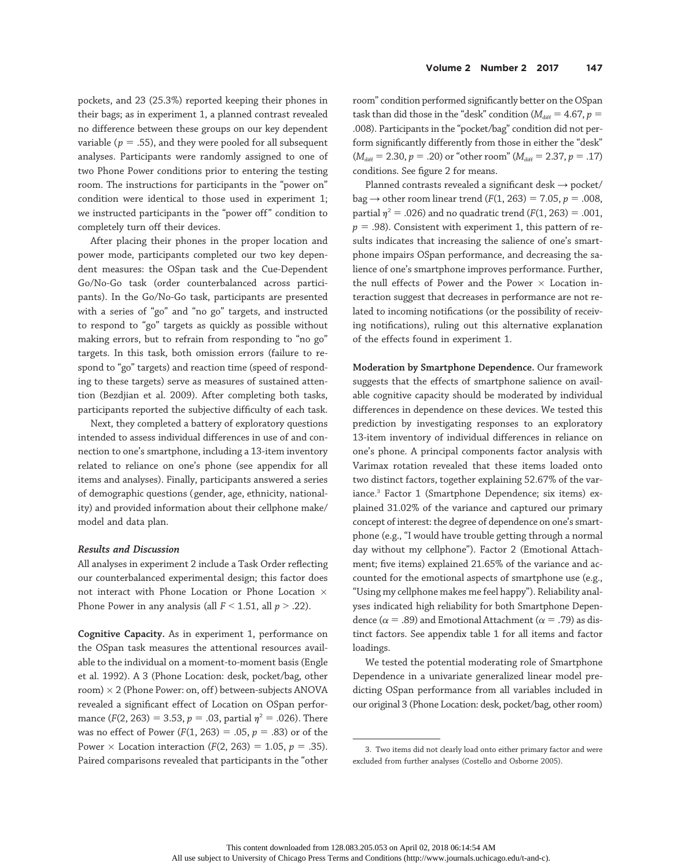pockets, and 23 (25.3%) reported keeping their phones in their bags; as in experiment 1, a planned contrast revealed no difference between these groups on our key dependent variable ( $p = .55$ ), and they were pooled for all subsequent analyses. Participants were randomly assigned to one of two Phone Power conditions prior to entering the testing room. The instructions for participants in the "power on" condition were identical to those used in experiment 1; we instructed participants in the "power off" condition to completely turn off their devices.

After placing their phones in the proper location and power mode, participants completed our two key dependent measures: the OSpan task and the Cue-Dependent Go/No-Go task (order counterbalanced across participants). In the Go/No-Go task, participants are presented with a series of "go" and "no go" targets, and instructed to respond to "go" targets as quickly as possible without making errors, but to refrain from responding to "no go" targets. In this task, both omission errors (failure to respond to "go" targets) and reaction time (speed of responding to these targets) serve as measures of sustained attention (Bezdjian et al. 2009). After completing both tasks, participants reported the subjective difficulty of each task.

Next, they completed a battery of exploratory questions intended to assess individual differences in use of and connection to one's smartphone, including a 13-item inventory related to reliance on one's phone (see appendix for all items and analyses). Finally, participants answered a series of demographic questions (gender, age, ethnicity, nationality) and provided information about their cellphone make/ model and data plan.

### Results and Discussion

All analyses in experiment 2 include a Task Order reflecting our counterbalanced experimental design; this factor does not interact with Phone Location or Phone Location Phone Power in any analysis (all  $F < 1.51$ , all  $p > .22$ ).

Cognitive Capacity. As in experiment 1, performance on the OSpan task measures the attentional resources available to the individual on a moment-to-moment basis (Engle et al. 1992). A 3 (Phone Location: desk, pocket/bag, other room)  $\times$  2 (Phone Power: on, off) between-subjects ANOVA revealed a significant effect of Location on OSpan performance (F(2, 263) = 3.53,  $p = .03$ , partial  $\eta^2 = .026$ ). There was no effect of Power ( $F(1, 263) = .05$ ,  $p = .83$ ) or of the Power  $\times$  Location interaction (F(2, 263) = 1.05, p = .35). Paired comparisons revealed that participants in the "other room"condition performed significantly better on the OSpan task than did those in the "desk" condition ( $M_{\text{diff}} = 4.67$ ,  $p =$ .008). Participants in the "pocket/bag"condition did not perform significantly differently from those in either the "desk"  $(M<sub>diff</sub> = 2.30, p = .20)$  or "other room" ( $M<sub>diff</sub> = 2.37, p = .17$ ) conditions. See figure 2 for means.

Planned contrasts revealed a significant desk  $\rightarrow$  pocket/ bag  $\rightarrow$  other room linear trend ( $F(1, 263) = 7.05$ ,  $p = .008$ , partial  $\eta^2 = .026$ ) and no quadratic trend (F(1, 263) = .001,  $p = .98$ ). Consistent with experiment 1, this pattern of results indicates that increasing the salience of one's smartphone impairs OSpan performance, and decreasing the salience of one's smartphone improves performance. Further, the null effects of Power and the Power  $\times$  Location interaction suggest that decreases in performance are not related to incoming notifications (or the possibility of receiving notifications), ruling out this alternative explanation of the effects found in experiment 1.

Moderation by Smartphone Dependence. Our framework suggests that the effects of smartphone salience on available cognitive capacity should be moderated by individual differences in dependence on these devices. We tested this prediction by investigating responses to an exploratory 13-item inventory of individual differences in reliance on one's phone. A principal components factor analysis with Varimax rotation revealed that these items loaded onto two distinct factors, together explaining 52.67% of the variance.<sup>3</sup> Factor 1 (Smartphone Dependence; six items) explained 31.02% of the variance and captured our primary concept of interest: the degree of dependence on one's smartphone (e.g., "I would have trouble getting through a normal day without my cellphone"). Factor 2 (Emotional Attachment; five items) explained 21.65% of the variance and accounted for the emotional aspects of smartphone use (e.g., "Using my cellphone makes me feel happy"). Reliability analyses indicated high reliability for both Smartphone Dependence ( $\alpha$  = .89) and Emotional Attachment ( $\alpha$  = .79) as distinct factors. See appendix table 1 for all items and factor loadings.

We tested the potential moderating role of Smartphone Dependence in a univariate generalized linear model predicting OSpan performance from all variables included in our original 3 (Phone Location: desk, pocket/bag, other room)

<sup>3.</sup> Two items did not clearly load onto either primary factor and were excluded from further analyses (Costello and Osborne 2005).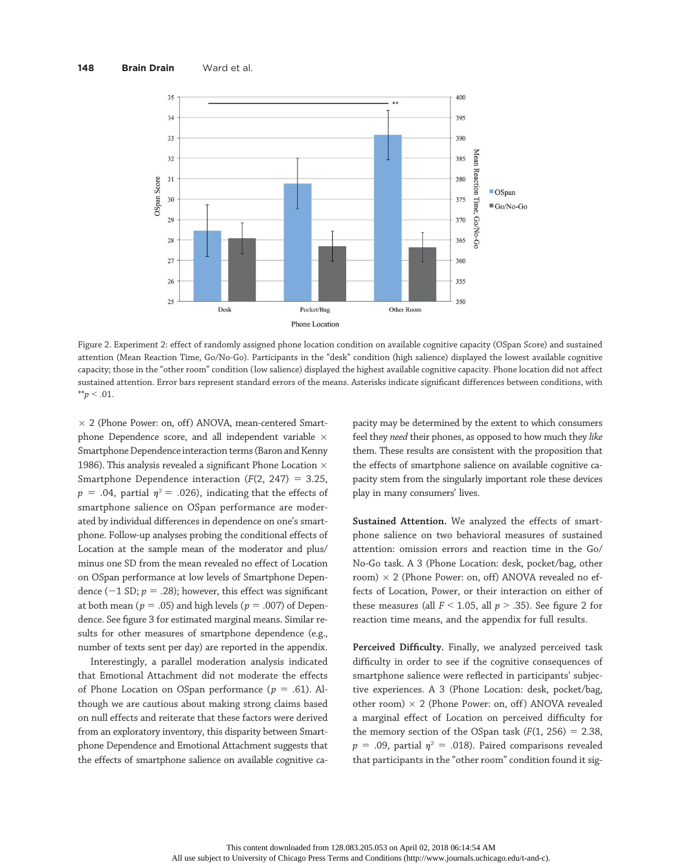

Figure 2. Experiment 2: effect of randomly assigned phone location condition on available cognitive capacity (OSpan Score) and sustained attention (Mean Reaction Time, Go/No-Go). Participants in the "desk" condition (high salience) displayed the lowest available cognitive capacity; those in the "other room" condition (low salience) displayed the highest available cognitive capacity. Phone location did not affect sustained attention. Error bars represent standard errors of the means. Asterisks indicate significant differences between conditions, with \*\* $p < .01$ .

 $\times$  2 (Phone Power: on, off) ANOVA, mean-centered Smartphone Dependence score, and all independent variable  $\times$ Smartphone Dependence interaction terms (Baron and Kenny 1986). This analysis revealed a significant Phone Location  $\times$ Smartphone Dependence interaction  $(F(2, 247) = 3.25,$  $p = .04$ , partial  $\eta^2 = .026$ ), indicating that the effects of smartphone salience on OSpan performance are moderated by individual differences in dependence on one's smartphone. Follow-up analyses probing the conditional effects of Location at the sample mean of the moderator and plus/ minus one SD from the mean revealed no effect of Location on OSpan performance at low levels of Smartphone Dependence (-1 SD;  $p = .28$ ); however, this effect was significant at both mean ( $p = .05$ ) and high levels ( $p = .007$ ) of Dependence. See figure 3 for estimated marginal means. Similar results for other measures of smartphone dependence (e.g., number of texts sent per day) are reported in the appendix.

Interestingly, a parallel moderation analysis indicated that Emotional Attachment did not moderate the effects of Phone Location on OSpan performance ( $p = .61$ ). Although we are cautious about making strong claims based on null effects and reiterate that these factors were derived from an exploratory inventory, this disparity between Smartphone Dependence and Emotional Attachment suggests that the effects of smartphone salience on available cognitive capacity may be determined by the extent to which consumers feel they need their phones, as opposed to how much they like them. These results are consistent with the proposition that the effects of smartphone salience on available cognitive capacity stem from the singularly important role these devices play in many consumers' lives.

Sustained Attention. We analyzed the effects of smartphone salience on two behavioral measures of sustained attention: omission errors and reaction time in the Go/ No-Go task. A 3 (Phone Location: desk, pocket/bag, other room)  $\times$  2 (Phone Power: on, off) ANOVA revealed no effects of Location, Power, or their interaction on either of these measures (all  $F < 1.05$ , all  $p > .35$ ). See figure 2 for reaction time means, and the appendix for full results.

Perceived Difficulty. Finally, we analyzed perceived task difficulty in order to see if the cognitive consequences of smartphone salience were reflected in participants' subjective experiences. A 3 (Phone Location: desk, pocket/bag, other room)  $\times$  2 (Phone Power: on, off) ANOVA revealed a marginal effect of Location on perceived difficulty for the memory section of the OSpan task  $(F(1, 256) = 2.38,$  $p = .09$ , partial  $\eta^2 = .018$ ). Paired comparisons revealed that participants in the "other room" condition found it sig-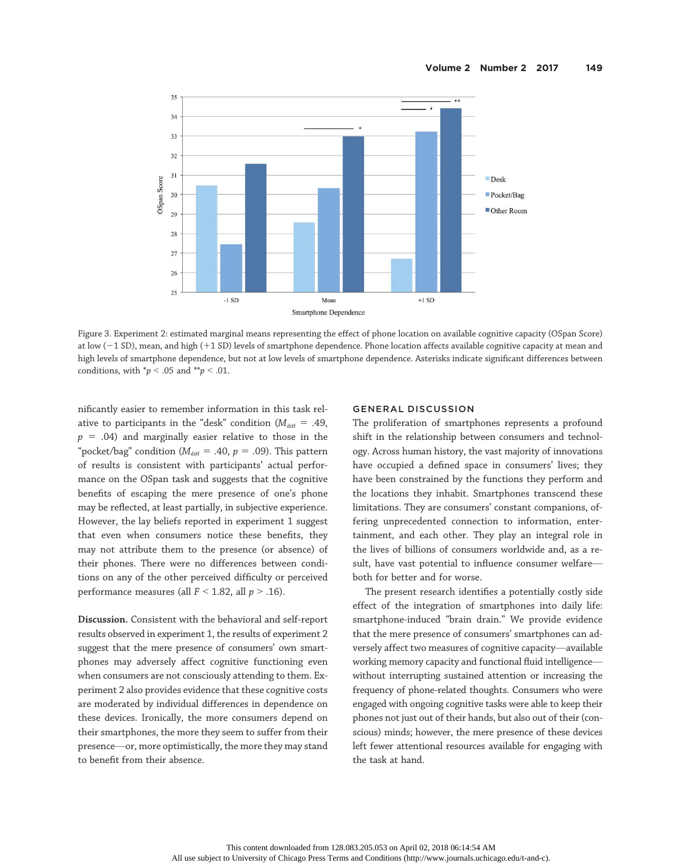

Figure 3. Experiment 2: estimated marginal means representing the effect of phone location on available cognitive capacity (OSpan Score) at low  $(-1 SD)$ , mean, and high  $(+1 SD)$  levels of smartphone dependence. Phone location affects available cognitive capacity at mean and high levels of smartphone dependence, but not at low levels of smartphone dependence. Asterisks indicate significant differences between conditions, with  $\frac{*}{p}$  < .05 and  $\frac{**}{p}$  < .01.

nificantly easier to remember information in this task relative to participants in the "desk" condition ( $M_{\text{diff}} = .49$ ,  $p = .04$ ) and marginally easier relative to those in the "pocket/bag" condition ( $M_{\text{diff}} = .40$ ,  $p = .09$ ). This pattern of results is consistent with participants' actual performance on the OSpan task and suggests that the cognitive benefits of escaping the mere presence of one's phone may be reflected, at least partially, in subjective experience. However, the lay beliefs reported in experiment 1 suggest that even when consumers notice these benefits, they may not attribute them to the presence (or absence) of their phones. There were no differences between conditions on any of the other perceived difficulty or perceived performance measures (all  $F < 1.82$ , all  $p > .16$ ).

Discussion. Consistent with the behavioral and self-report results observed in experiment 1, the results of experiment 2 suggest that the mere presence of consumers' own smartphones may adversely affect cognitive functioning even when consumers are not consciously attending to them. Experiment 2 also provides evidence that these cognitive costs are moderated by individual differences in dependence on these devices. Ironically, the more consumers depend on their smartphones, the more they seem to suffer from their presence—or, more optimistically, the more they may stand to benefit from their absence.

#### GENERAL DISCUSSION

The proliferation of smartphones represents a profound shift in the relationship between consumers and technology. Across human history, the vast majority of innovations have occupied a defined space in consumers' lives; they have been constrained by the functions they perform and the locations they inhabit. Smartphones transcend these limitations. They are consumers' constant companions, offering unprecedented connection to information, entertainment, and each other. They play an integral role in the lives of billions of consumers worldwide and, as a result, have vast potential to influence consumer welfare both for better and for worse.

The present research identifies a potentially costly side effect of the integration of smartphones into daily life: smartphone-induced "brain drain." We provide evidence that the mere presence of consumers' smartphones can adversely affect two measures of cognitive capacity—available working memory capacity and functional fluid intelligence without interrupting sustained attention or increasing the frequency of phone-related thoughts. Consumers who were engaged with ongoing cognitive tasks were able to keep their phones not just out of their hands, but also out of their (conscious) minds; however, the mere presence of these devices left fewer attentional resources available for engaging with the task at hand.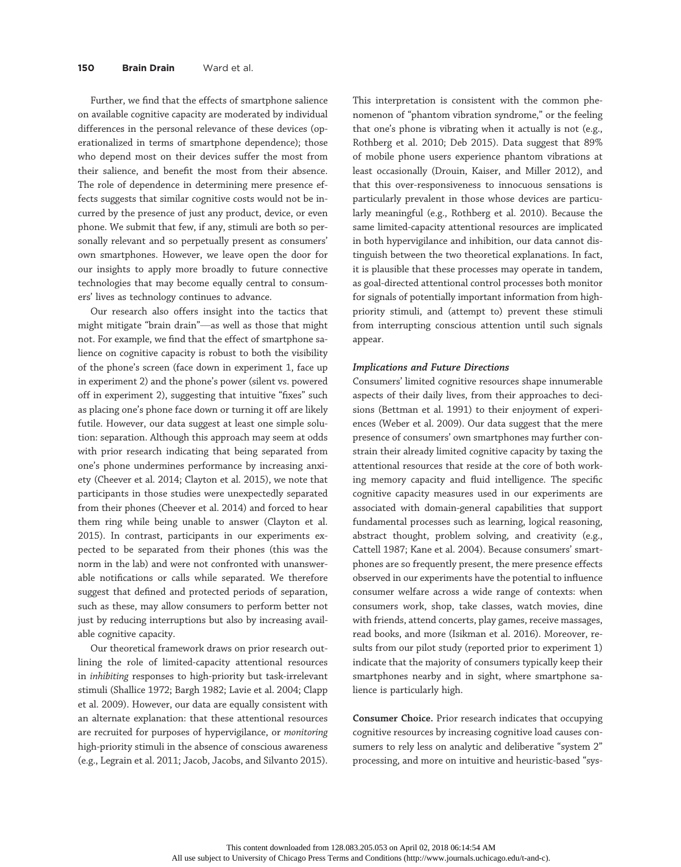Further, we find that the effects of smartphone salience on available cognitive capacity are moderated by individual differences in the personal relevance of these devices (operationalized in terms of smartphone dependence); those who depend most on their devices suffer the most from their salience, and benefit the most from their absence. The role of dependence in determining mere presence effects suggests that similar cognitive costs would not be incurred by the presence of just any product, device, or even phone. We submit that few, if any, stimuli are both so personally relevant and so perpetually present as consumers' own smartphones. However, we leave open the door for our insights to apply more broadly to future connective technologies that may become equally central to consumers' lives as technology continues to advance.

Our research also offers insight into the tactics that might mitigate "brain drain"—as well as those that might not. For example, we find that the effect of smartphone salience on cognitive capacity is robust to both the visibility of the phone's screen (face down in experiment 1, face up in experiment 2) and the phone's power (silent vs. powered off in experiment 2), suggesting that intuitive "fixes" such as placing one's phone face down or turning it off are likely futile. However, our data suggest at least one simple solution: separation. Although this approach may seem at odds with prior research indicating that being separated from one's phone undermines performance by increasing anxiety (Cheever et al. 2014; Clayton et al. 2015), we note that participants in those studies were unexpectedly separated from their phones (Cheever et al. 2014) and forced to hear them ring while being unable to answer (Clayton et al. 2015). In contrast, participants in our experiments expected to be separated from their phones (this was the norm in the lab) and were not confronted with unanswerable notifications or calls while separated. We therefore suggest that defined and protected periods of separation, such as these, may allow consumers to perform better not just by reducing interruptions but also by increasing available cognitive capacity.

Our theoretical framework draws on prior research outlining the role of limited-capacity attentional resources in inhibiting responses to high-priority but task-irrelevant stimuli (Shallice 1972; Bargh 1982; Lavie et al. 2004; Clapp et al. 2009). However, our data are equally consistent with an alternate explanation: that these attentional resources are recruited for purposes of hypervigilance, or monitoring high-priority stimuli in the absence of conscious awareness (e.g., Legrain et al. 2011; Jacob, Jacobs, and Silvanto 2015).

This interpretation is consistent with the common phenomenon of "phantom vibration syndrome," or the feeling that one's phone is vibrating when it actually is not (e.g., Rothberg et al. 2010; Deb 2015). Data suggest that 89% of mobile phone users experience phantom vibrations at least occasionally (Drouin, Kaiser, and Miller 2012), and that this over-responsiveness to innocuous sensations is particularly prevalent in those whose devices are particularly meaningful (e.g., Rothberg et al. 2010). Because the same limited-capacity attentional resources are implicated in both hypervigilance and inhibition, our data cannot distinguish between the two theoretical explanations. In fact, it is plausible that these processes may operate in tandem, as goal-directed attentional control processes both monitor for signals of potentially important information from highpriority stimuli, and (attempt to) prevent these stimuli from interrupting conscious attention until such signals appear.

#### Implications and Future Directions

Consumers' limited cognitive resources shape innumerable aspects of their daily lives, from their approaches to decisions (Bettman et al. 1991) to their enjoyment of experiences (Weber et al. 2009). Our data suggest that the mere presence of consumers' own smartphones may further constrain their already limited cognitive capacity by taxing the attentional resources that reside at the core of both working memory capacity and fluid intelligence. The specific cognitive capacity measures used in our experiments are associated with domain-general capabilities that support fundamental processes such as learning, logical reasoning, abstract thought, problem solving, and creativity (e.g., Cattell 1987; Kane et al. 2004). Because consumers' smartphones are so frequently present, the mere presence effects observed in our experiments have the potential to influence consumer welfare across a wide range of contexts: when consumers work, shop, take classes, watch movies, dine with friends, attend concerts, play games, receive massages, read books, and more (Isikman et al. 2016). Moreover, results from our pilot study (reported prior to experiment 1) indicate that the majority of consumers typically keep their smartphones nearby and in sight, where smartphone salience is particularly high.

Consumer Choice. Prior research indicates that occupying cognitive resources by increasing cognitive load causes consumers to rely less on analytic and deliberative "system 2" processing, and more on intuitive and heuristic-based "sys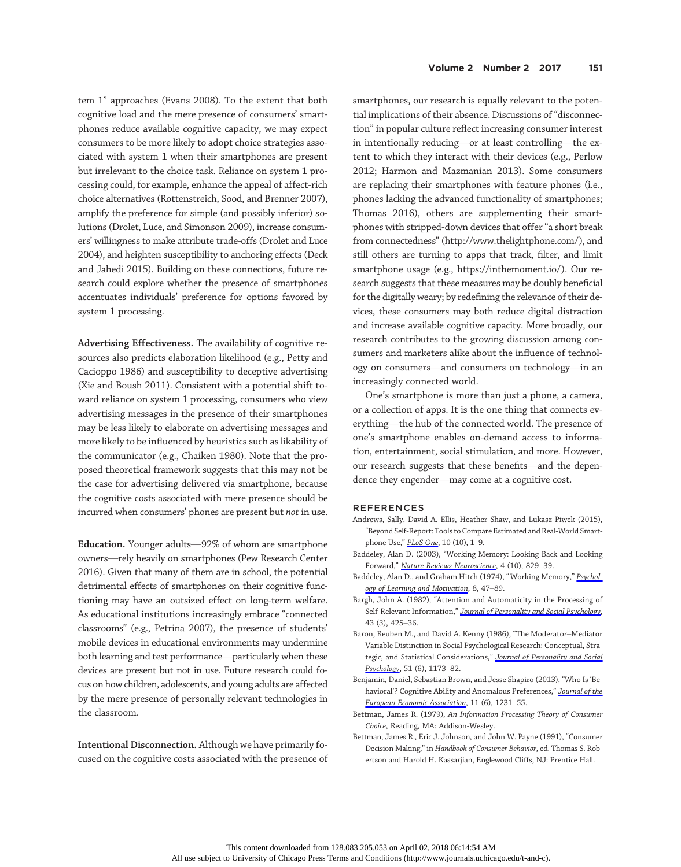tem 1" approaches (Evans 2008). To the extent that both cognitive load and the mere presence of consumers' smartphones reduce available cognitive capacity, we may expect consumers to be more likely to adopt choice strategies associated with system 1 when their smartphones are present but irrelevant to the choice task. Reliance on system 1 processing could, for example, enhance the appeal of affect-rich choice alternatives (Rottenstreich, Sood, and Brenner 2007), amplify the preference for simple (and possibly inferior) solutions (Drolet, Luce, and Simonson 2009), increase consumers' willingness to make attribute trade-offs (Drolet and Luce 2004), and heighten susceptibility to anchoring effects (Deck and Jahedi 2015). Building on these connections, future research could explore whether the presence of smartphones accentuates individuals' preference for options favored by system 1 processing.

Advertising Effectiveness. The availability of cognitive resources also predicts elaboration likelihood (e.g., Petty and Cacioppo 1986) and susceptibility to deceptive advertising (Xie and Boush 2011). Consistent with a potential shift toward reliance on system 1 processing, consumers who view advertising messages in the presence of their smartphones may be less likely to elaborate on advertising messages and more likely to be influenced by heuristics such as likability of the communicator (e.g., Chaiken 1980). Note that the proposed theoretical framework suggests that this may not be the case for advertising delivered via smartphone, because the cognitive costs associated with mere presence should be incurred when consumers' phones are present but not in use.

Education. Younger adults—92% of whom are smartphone owners—rely heavily on smartphones (Pew Research Center 2016). Given that many of them are in school, the potential detrimental effects of smartphones on their cognitive functioning may have an outsized effect on long-term welfare. As educational institutions increasingly embrace "connected classrooms" (e.g., Petrina 2007), the presence of students' mobile devices in educational environments may undermine both learning and test performance—particularly when these devices are present but not in use. Future research could focus on how children, adolescents, and young adults are affected by the mere presence of personally relevant technologies in the classroom.

Intentional Disconnection. Although we have primarily focused on the cognitive costs associated with the presence of

smartphones, our research is equally relevant to the potential implications of their absence. Discussions of "disconnection" in popular culture reflect increasing consumer interest in intentionally reducing—or at least controlling—the extent to which they interact with their devices (e.g., Perlow 2012; Harmon and Mazmanian 2013). Some consumers are replacing their smartphones with feature phones (i.e., phones lacking the advanced functionality of smartphones; Thomas 2016), others are supplementing their smartphones with stripped-down devices that offer"a short break from connectedness" (http://www.thelightphone.com/), and still others are turning to apps that track, filter, and limit smartphone usage (e.g., https://inthemoment.io/). Our research suggests that these measures may be doubly beneficial for the digitally weary; by redefining the relevance of their devices, these consumers may both reduce digital distraction and increase available cognitive capacity. More broadly, our research contributes to the growing discussion among consumers and marketers alike about the influence of technology on consumers—and consumers on technology—in an increasingly connected world.

One's smartphone is more than just a phone, a camera, or a collection of apps. It is the one thing that connects everything—the hub of the connected world. The presence of one's smartphone enables on-demand access to information, entertainment, social stimulation, and more. However, our research suggests that these benefits—and the dependence they engender—may come at a cognitive cost.

#### **REFERENCES**

- Andrews, Sally, David A. Ellis, Heather Shaw, and Lukasz Piwek (2015), "Beyond Self-Report: Tools to Compare Estimated and Real-World Smart-phone Use," [PLoS One](https://www.journals.uchicago.edu/action/showLinks?doi=10.1086%2F691462&crossref=10.1371%2Fjournal.pone.0139004&citationId=p_3), 10 (10), 1-9.
- Baddeley, Alan D. (2003), "Working Memory: Looking Back and Looking Forward," [Nature Reviews Neuroscience](https://www.journals.uchicago.edu/action/showLinks?doi=10.1086%2F691462&crossref=10.1038%2Fnrn1201&citationId=p_4), 4 (10), 829-39.
- Baddeley, Alan D., and Graham Hitch (1974), "Working Memory," [Psychol](https://www.journals.uchicago.edu/action/showLinks?doi=10.1086%2F691462&crossref=10.1016%2FS0079-7421%2808%2960452-1&citationId=p_5)[ogy of Learning and Motivation](https://www.journals.uchicago.edu/action/showLinks?doi=10.1086%2F691462&crossref=10.1016%2FS0079-7421%2808%2960452-1&citationId=p_5), 8, 47-89.
- Bargh, John A. (1982), "Attention and Automaticity in the Processing of Self-Relevant Information," [Journal of Personality and Social Psychology](https://www.journals.uchicago.edu/action/showLinks?doi=10.1086%2F691462&crossref=10.1037%2F0022-3514.43.3.425&citationId=p_6), 43 (3), 425–36.
- Baron, Reuben M., and David A. Kenny (1986), "The Moderator–Mediator Variable Distinction in Social Psychological Research: Conceptual, Stra-tegic, and Statistical Considerations," [Journal of Personality and Social](https://www.journals.uchicago.edu/action/showLinks?doi=10.1086%2F691462&crossref=10.1037%2F0022-3514.51.6.1173&citationId=p_7) [Psychology](https://www.journals.uchicago.edu/action/showLinks?doi=10.1086%2F691462&crossref=10.1037%2F0022-3514.51.6.1173&citationId=p_7), 51 (6), 1173–82.
- Benjamin, Daniel, Sebastian Brown, and Jesse Shapiro (2013), "Who Is'Be-havioral'? Cognitive Ability and Anomalous Preferences," [Journal of the](https://www.journals.uchicago.edu/action/showLinks?doi=10.1086%2F691462&crossref=10.1111%2Fjeea.12055&citationId=p_8) [European Economic Association](https://www.journals.uchicago.edu/action/showLinks?doi=10.1086%2F691462&crossref=10.1111%2Fjeea.12055&citationId=p_8), 11 (6), 1231-55.
- Bettman, James R. (1979), An Information Processing Theory of Consumer Choice, Reading, MA: Addison-Wesley.
- Bettman, James R., Eric J. Johnson, and John W. Payne (1991), "Consumer Decision Making," in Handbook of Consumer Behavior, ed. Thomas S. Robertson and Harold H. Kassarjian, Englewood Cliffs, NJ: Prentice Hall.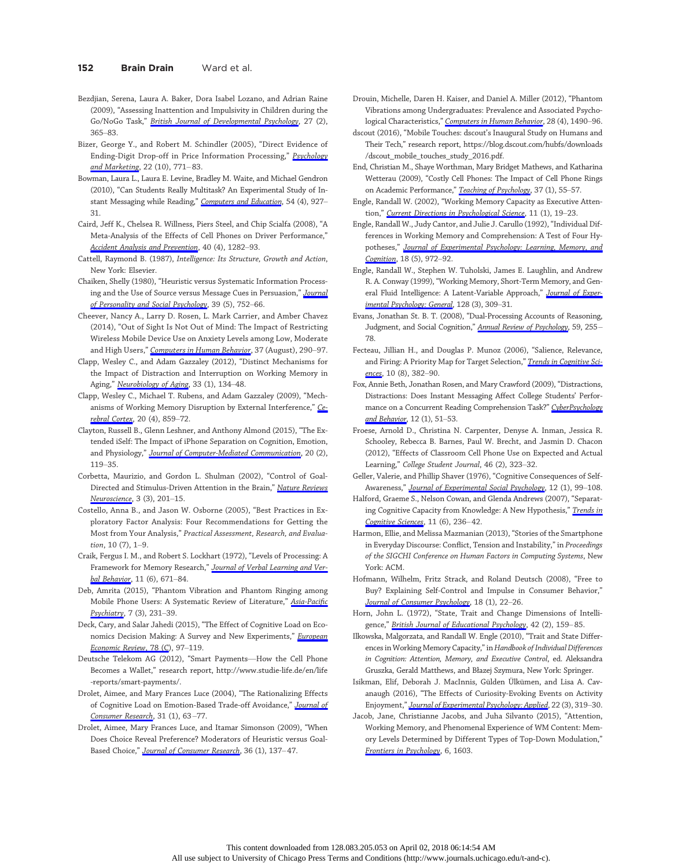- Bezdjian, Serena, Laura A. Baker, Dora Isabel Lozano, and Adrian Raine (2009), "Assessing Inattention and Impulsivity in Children during the Go/NoGo Task," [British Journal of Developmental Psychology](https://www.journals.uchicago.edu/action/showLinks?doi=10.1086%2F691462&crossref=10.1348%2F026151008X314919&citationId=p_11), 27 (2), 365–83.
- Bizer, George Y., and Robert M. Schindler (2005), "Direct Evidence of Ending-Digit Drop-off in Price Information Processing," [Psychology](https://www.journals.uchicago.edu/action/showLinks?doi=10.1086%2F691462&crossref=10.1002%2Fmar.20084&citationId=p_12) [and Marketing](https://www.journals.uchicago.edu/action/showLinks?doi=10.1086%2F691462&crossref=10.1002%2Fmar.20084&citationId=p_12), 22 (10), 771-83.
- Bowman, Laura L., Laura E. Levine, Bradley M. Waite, and Michael Gendron (2010), "Can Students Really Multitask? An Experimental Study of In-stant Messaging while Reading," [Computers and Education](https://www.journals.uchicago.edu/action/showLinks?doi=10.1086%2F691462&crossref=10.1016%2Fj.compedu.2009.09.024&citationId=p_14), 54 (4), 927-31.
- Caird, Jeff K., Chelsea R. Willness, Piers Steel, and Chip Scialfa (2008), "A Meta-Analysis of the Effects of Cell Phones on Driver Performance," [Accident Analysis and Prevention](https://www.journals.uchicago.edu/action/showLinks?doi=10.1086%2F691462&crossref=10.1016%2Fj.aap.2008.01.009&citationId=p_15), 40 (4), 1282-93.
- Cattell, Raymond B. (1987), Intelligence: Its Structure, Growth and Action, New York: Elsevier.
- Chaiken, Shelly (1980), "Heuristic versus Systematic Information Process-ing and the Use of Source versus Message Cues in Persuasion," [Journal](https://www.journals.uchicago.edu/action/showLinks?doi=10.1086%2F691462&crossref=10.1037%2F0022-3514.39.5.752&citationId=p_17) [of Personality and Social Psychology](https://www.journals.uchicago.edu/action/showLinks?doi=10.1086%2F691462&crossref=10.1037%2F0022-3514.39.5.752&citationId=p_17), 39 (5), 752-66.
- Cheever, Nancy A., Larry D. Rosen, L. Mark Carrier, and Amber Chavez (2014), "Out of Sight Is Not Out of Mind: The Impact of Restricting Wireless Mobile Device Use on Anxiety Levels among Low, Moderate and High Users," [Computers in Human Behavior](https://www.journals.uchicago.edu/action/showLinks?doi=10.1086%2F691462&crossref=10.1016%2Fj.chb.2014.05.002&citationId=p_19), 37 (August), 290-97.
- Clapp, Wesley C., and Adam Gazzaley (2012), "Distinct Mechanisms for the Impact of Distraction and Interruption on Working Memory in Aging," [Neurobiology of Aging](https://www.journals.uchicago.edu/action/showLinks?doi=10.1086%2F691462&crossref=10.1016%2Fj.neurobiolaging.2010.01.012&citationId=p_20), 33 (1), 134-48.
- Clapp, Wesley C., Michael T. Rubens, and Adam Gazzaley (2009), "Mech-anisms of Working Memory Disruption by External Interference," [Ce](https://www.journals.uchicago.edu/action/showLinks?doi=10.1086%2F691462&crossref=10.1093%2Fcercor%2Fbhp150&citationId=p_21)[rebral Cortex](https://www.journals.uchicago.edu/action/showLinks?doi=10.1086%2F691462&crossref=10.1093%2Fcercor%2Fbhp150&citationId=p_21), 20 (4), 859-72.
- Clayton, Russell B., Glenn Leshner, and Anthony Almond (2015), "The Extended iSelf: The Impact of iPhone Separation on Cognition, Emotion, and Physiology," [Journal of Computer-Mediated Communication](https://www.journals.uchicago.edu/action/showLinks?doi=10.1086%2F691462&crossref=10.1111%2Fjcc4.12109&citationId=p_22), 20 (2), 119–35.
- Corbetta, Maurizio, and Gordon L. Shulman (2002), "Control of Goal-Directed and Stimulus-Driven Attention in the Brain," [Nature Reviews](https://www.journals.uchicago.edu/action/showLinks?doi=10.1086%2F691462&crossref=10.1038%2Fnrn755&citationId=p_23) [Neuroscience](https://www.journals.uchicago.edu/action/showLinks?doi=10.1086%2F691462&crossref=10.1038%2Fnrn755&citationId=p_23), 3 (3), 201-15.
- Costello, Anna B., and Jason W. Osborne (2005), "Best Practices in Exploratory Factor Analysis: Four Recommendations for Getting the Most from Your Analysis," Practical Assessment, Research, and Evaluation, 10 (7), 1–9.
- Craik, Fergus I. M., and Robert S. Lockhart (1972), "Levels of Processing: A Framework for Memory Research," [Journal of Verbal Learning and Ver](https://www.journals.uchicago.edu/action/showLinks?doi=10.1086%2F691462&crossref=10.1016%2FS0022-5371%2872%2980001-X&citationId=p_25)[bal Behavior](https://www.journals.uchicago.edu/action/showLinks?doi=10.1086%2F691462&crossref=10.1016%2FS0022-5371%2872%2980001-X&citationId=p_25), 11 (6), 671-84.
- Deb, Amrita (2015), "Phantom Vibration and Phantom Ringing among Mobile Phone Users: A Systematic Review of Literature," [Asia-Paci](https://www.journals.uchicago.edu/action/showLinks?doi=10.1086%2F691462&crossref=10.1111%2Fappy.12164&citationId=p_26)fic [Psychiatry](https://www.journals.uchicago.edu/action/showLinks?doi=10.1086%2F691462&crossref=10.1111%2Fappy.12164&citationId=p_26), 7 (3), 231-39.
- Deck, Cary, and Salar Jahedi (2015), "The Effect of Cognitive Load on Eco-nomics Decision Making: A Survey and New Experiments," [European](https://www.journals.uchicago.edu/action/showLinks?doi=10.1086%2F691462&crossref=10.1016%2Fj.euroecorev.2015.05.004&citationId=p_27) [Economic Review](https://www.journals.uchicago.edu/action/showLinks?doi=10.1086%2F691462&crossref=10.1016%2Fj.euroecorev.2015.05.004&citationId=p_27), 78 (C), 97–119.
- Deutsche Telekom AG (2012), "Smart Payments—How the Cell Phone Becomes a Wallet," research report, http://www.studie-life.de/en/life -reports/smart-payments/.
- Drolet, Aimee, and Mary Frances Luce (2004), "The Rationalizing Effects of Cognitive Load on Emotion-Based Trade-off Avoidance," [Journal of](https://www.journals.uchicago.edu/action/showLinks?doi=10.1086%2F691462&crossref=10.1086%2F383424&citationId=p_29) [Consumer Research](https://www.journals.uchicago.edu/action/showLinks?doi=10.1086%2F691462&crossref=10.1086%2F383424&citationId=p_29), 31 (1), 63-77.
- Drolet, Aimee, Mary Frances Luce, and Itamar Simonson (2009), "When Does Choice Reveal Preference? Moderators of Heuristic versus Goal-Based Choice," [Journal of Consumer Research](https://www.journals.uchicago.edu/action/showLinks?doi=10.1086%2F691462&crossref=10.1086%2F596305&citationId=p_30), 36 (1), 137-47.
- Drouin, Michelle, Daren H. Kaiser, and Daniel A. Miller (2012), "Phantom Vibrations among Undergraduates: Prevalence and Associated Psycho-logical Characteristics," [Computers in Human Behavior](https://www.journals.uchicago.edu/action/showLinks?doi=10.1086%2F691462&crossref=10.1016%2Fj.chb.2012.03.013&citationId=p_31), 28 (4), 1490-96.
- dscout (2016), "Mobile Touches: dscout's Inaugural Study on Humans and Their Tech," research report, https://blog.dscout.com/hubfs/downloads /dscout\_mobile\_touches\_study\_2016.pdf.
- End, Christian M., Shaye Worthman, Mary Bridget Mathews, and Katharina Wetterau (2009), "Costly Cell Phones: The Impact of Cell Phone Rings on Academic Performance," [Teaching of Psychology](https://www.journals.uchicago.edu/action/showLinks?doi=10.1086%2F691462&crossref=10.1080%2F00986280903425912&citationId=p_33), 37 (1), 55-57.
- Engle, Randall W. (2002), "Working Memory Capacity as Executive Atten-tion," [Current Directions in Psychological Science](https://www.journals.uchicago.edu/action/showLinks?doi=10.1086%2F691462&crossref=10.1111%2F1467-8721.00160&citationId=p_34), 11 (1), 19-23.
- Engle, Randall W., Judy Cantor, and Julie J. Carullo (1992), "Individual Differences in Working Memory and Comprehension: A Test of Four Hy-potheses," [Journal of Experimental Psychology: Learning, Memory, and](https://www.journals.uchicago.edu/action/showLinks?doi=10.1086%2F691462&crossref=10.1037%2F0278-7393.18.5.972&citationId=p_35) [Cognition](https://www.journals.uchicago.edu/action/showLinks?doi=10.1086%2F691462&crossref=10.1037%2F0278-7393.18.5.972&citationId=p_35), 18 (5), 972-92.
- Engle, Randall W., Stephen W. Tuholski, James E. Laughlin, and Andrew R. A. Conway (1999), "Working Memory, Short-Term Memory, and Gen-eral Fluid Intelligence: A Latent-Variable Approach," [Journal of Exper](https://www.journals.uchicago.edu/action/showLinks?doi=10.1086%2F691462&crossref=10.1037%2F0096-3445.128.3.309&citationId=p_36)[imental Psychology: General](https://www.journals.uchicago.edu/action/showLinks?doi=10.1086%2F691462&crossref=10.1037%2F0096-3445.128.3.309&citationId=p_36), 128 (3), 309-31.
- Evans, Jonathan St. B. T. (2008), "Dual-Processing Accounts of Reasoning, Judgment, and Social Cognition," [Annual Review of Psychology](https://www.journals.uchicago.edu/action/showLinks?doi=10.1086%2F691462&crossref=10.1146%2Fannurev.psych.59.103006.093629&citationId=p_37), 59, 255-78.
- Fecteau, Jillian H., and Douglas P. Munoz (2006), "Salience, Relevance, and Firing: A Priority Map for Target Selection," [Trends in Cognitive Sci](https://www.journals.uchicago.edu/action/showLinks?doi=10.1086%2F691462&crossref=10.1016%2Fj.tics.2006.06.011&citationId=p_38)[ences](https://www.journals.uchicago.edu/action/showLinks?doi=10.1086%2F691462&crossref=10.1016%2Fj.tics.2006.06.011&citationId=p_38), 10 (8), 382-90.
- Fox, Annie Beth, Jonathan Rosen, and Mary Crawford (2009), "Distractions, Distractions: Does Instant Messaging Affect College Students' Perfor-mance on a Concurrent Reading Comprehension Task?" [CyberPsychology](https://www.journals.uchicago.edu/action/showLinks?doi=10.1086%2F691462&crossref=10.1089%2Fcpb.2008.0107&citationId=p_39) [and Behavior](https://www.journals.uchicago.edu/action/showLinks?doi=10.1086%2F691462&crossref=10.1089%2Fcpb.2008.0107&citationId=p_39), 12 (1), 51-53.
- Froese, Arnold D., Christina N. Carpenter, Denyse A. Inman, Jessica R. Schooley, Rebecca B. Barnes, Paul W. Brecht, and Jasmin D. Chacon (2012), "Effects of Classroom Cell Phone Use on Expected and Actual Learning," College Student Journal, 46 (2), 323–32.
- Geller, Valerie, and Phillip Shaver (1976), "Cognitive Consequences of Self-Awareness," [Journal of Experimental Social Psychology](https://www.journals.uchicago.edu/action/showLinks?doi=10.1086%2F691462&crossref=10.1016%2F0022-1031%2876%2990089-5&citationId=p_42), 12 (1), 99-108.
- Halford, Graeme S., Nelson Cowan, and Glenda Andrews (2007), "Separat-ing Cognitive Capacity from Knowledge: A New Hypothesis," [Trends in](https://www.journals.uchicago.edu/action/showLinks?doi=10.1086%2F691462&crossref=10.1016%2Fj.tics.2007.04.001&citationId=p_43) [Cognitive Sciences](https://www.journals.uchicago.edu/action/showLinks?doi=10.1086%2F691462&crossref=10.1016%2Fj.tics.2007.04.001&citationId=p_43), 11 (6), 236-42.
- Harmon, Ellie, and Melissa Mazmanian (2013), "Stories of the Smartphone in Everyday Discourse: Conflict, Tension and Instability," in Proceedings of the SIGCHI Conference on Human Factors in Computing Systems, New York: ACM.
- Hofmann, Wilhelm, Fritz Strack, and Roland Deutsch (2008), "Free to Buy? Explaining Self-Control and Impulse in Consumer Behavior," [Journal of Consumer Psychology](https://www.journals.uchicago.edu/action/showLinks?doi=10.1086%2F691462&crossref=10.1016%2Fj.jcps.2007.10.005&citationId=p_45), 18 (1), 22-26.
- Horn, John L. (1972), "State, Trait and Change Dimensions of Intelli-gence," [British Journal of Educational Psychology](https://www.journals.uchicago.edu/action/showLinks?doi=10.1086%2F691462&crossref=10.1111%2Fj.2044-8279.1972.tb00709.x&citationId=p_46), 42 (2), 159-85.
- Ilkowska, Malgorzata, and Randall W. Engle (2010), "Trait and State Differences in Working Memory Capacity,"in Handbook of Individual Differences in Cognition: Attention, Memory, and Executive Control, ed. Aleksandra Gruszka, Gerald Matthews, and Błazej Szymura, New York: Springer.
- Isikman, Elif, Deborah J. MacInnis, Gülden Ülkümen, and Lisa A. Cavanaugh (2016), "The Effects of Curiosity-Evoking Events on Activity Enjoyment," [Journal of Experimental Psychology: Applied](https://www.journals.uchicago.edu/action/showLinks?doi=10.1086%2F691462&crossref=10.1037%2Fxap0000089&citationId=p_48), 22 (3), 319-30.
- Jacob, Jane, Christianne Jacobs, and Juha Silvanto (2015), "Attention, Working Memory, and Phenomenal Experience of WM Content: Memory Levels Determined by Different Types of Top-Down Modulation," [Frontiers in Psychology](https://www.journals.uchicago.edu/action/showLinks?doi=10.1086%2F691462&crossref=10.3389%2Ffpsyg.2015.01603&citationId=p_49), 6, 1603.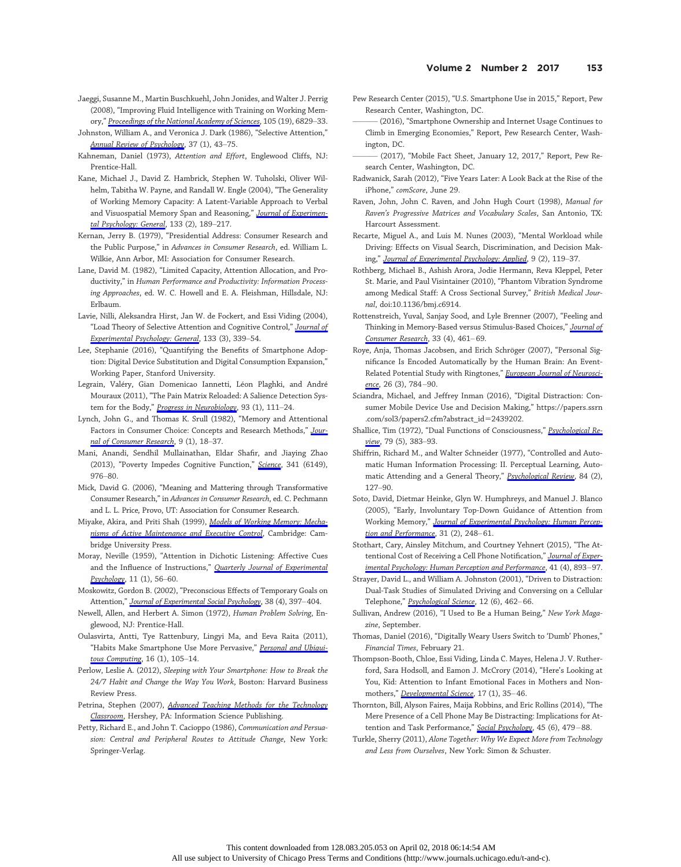- Jaeggi, Susanne M., Martin Buschkuehl, John Jonides, and Walter J. Perrig (2008), "Improving Fluid Intelligence with Training on Working Mem-ory," [Proceedings of the National Academy of Sciences](https://www.journals.uchicago.edu/action/showLinks?doi=10.1086%2F691462&crossref=10.1073%2Fpnas.0801268105&citationId=p_50), 105 (19), 6829-33.
- Johnston, William A., and Veronica J. Dark (1986), "Selective Attention," [Annual Review of Psychology](https://www.journals.uchicago.edu/action/showLinks?doi=10.1086%2F691462&crossref=10.1146%2Fannurev.ps.37.020186.000355&citationId=p_51), 37 (1), 43-75.
- Kahneman, Daniel (1973), Attention and Effort, Englewood Cliffs, NJ: Prentice-Hall.
- Kane, Michael J., David Z. Hambrick, Stephen W. Tuholski, Oliver Wilhelm, Tabitha W. Payne, and Randall W. Engle (2004), "The Generality of Working Memory Capacity: A Latent-Variable Approach to Verbal and Visuospatial Memory Span and Reasoning," [Journal of Experimen](https://www.journals.uchicago.edu/action/showLinks?doi=10.1086%2F691462&crossref=10.1037%2F0096-3445.133.2.189&citationId=p_53)[tal Psychology: General](https://www.journals.uchicago.edu/action/showLinks?doi=10.1086%2F691462&crossref=10.1037%2F0096-3445.133.2.189&citationId=p_53), 133 (2), 189-217.
- Kernan, Jerry B. (1979), "Presidential Address: Consumer Research and the Public Purpose," in Advances in Consumer Research, ed. William L. Wilkie, Ann Arbor, MI: Association for Consumer Research.
- Lane, David M. (1982), "Limited Capacity, Attention Allocation, and Productivity," in Human Performance and Productivity: Information Processing Approaches, ed. W. C. Howell and E. A. Fleishman, Hillsdale, NJ: Erlbaum.
- Lavie, Nilli, Aleksandra Hirst, Jan W. de Fockert, and Essi Viding (2004), "Load Theory of Selective Attention and Cognitive Control," [Journal of](https://www.journals.uchicago.edu/action/showLinks?doi=10.1086%2F691462&crossref=10.1037%2F0096-3445.133.3.339&citationId=p_56) [Experimental Psychology: General](https://www.journals.uchicago.edu/action/showLinks?doi=10.1086%2F691462&crossref=10.1037%2F0096-3445.133.3.339&citationId=p_56), 133 (3), 339-54.
- Lee, Stephanie (2016), "Quantifying the Benefits of Smartphone Adoption: Digital Device Substitution and Digital Consumption Expansion," Working Paper, Stanford University.
- Legrain, Valéry, Gian Domenicao Iannetti, Léon Plaghki, and André Mouraux (2011), "The Pain Matrix Reloaded: A Salience Detection Sys-tem for the Body," [Progress in Neurobiology](https://www.journals.uchicago.edu/action/showLinks?doi=10.1086%2F691462&crossref=10.1016%2Fj.pneurobio.2010.10.005&citationId=p_58), 93 (1), 111-24.
- Lynch, John G., and Thomas K. Srull (1982), "Memory and Attentional Factors in Consumer Choice: Concepts and Research Methods," [Jour](https://www.journals.uchicago.edu/action/showLinks?doi=10.1086%2F691462&crossref=10.1086%2F208893&citationId=p_59)[nal of Consumer Research](https://www.journals.uchicago.edu/action/showLinks?doi=10.1086%2F691462&crossref=10.1086%2F208893&citationId=p_59), 9 (1), 18-37.
- Mani, Anandi, Sendhil Mullainathan, Eldar Shafir, and Jiaying Zhao (2013), "Poverty Impedes Cognitive Function," [Science](https://www.journals.uchicago.edu/action/showLinks?doi=10.1086%2F691462&crossref=10.1126%2Fscience.1238041&citationId=p_61), 341 (6149), 976–80.
- Mick, David G. (2006), "Meaning and Mattering through Transformative Consumer Research," in Advances in Consumer Research, ed. C. Pechmann and L. L. Price, Provo, UT: Association for Consumer Research.
- Miyake, Akira, and Priti Shah (1999), [Models of Working Memory: Mecha](https://www.journals.uchicago.edu/action/showLinks?doi=10.1086%2F691462&crossref=10.1017%2FCBO9781139174909&citationId=p_63)[nisms of Active Maintenance and Executive Control](https://www.journals.uchicago.edu/action/showLinks?doi=10.1086%2F691462&crossref=10.1017%2FCBO9781139174909&citationId=p_63), Cambridge: Cambridge University Press.
- Moray, Neville (1959), "Attention in Dichotic Listening: Affective Cues and the Influence of Instructions," *[Quarterly Journal of Experimental](https://www.journals.uchicago.edu/action/showLinks?doi=10.1086%2F691462&crossref=10.1080%2F17470215908416289&citationId=p_64)* [Psychology](https://www.journals.uchicago.edu/action/showLinks?doi=10.1086%2F691462&crossref=10.1080%2F17470215908416289&citationId=p_64), 11 (1), 56–60.
- Moskowitz, Gordon B. (2002), "Preconscious Effects of Temporary Goals on Attention," [Journal of Experimental Social Psychology](https://www.journals.uchicago.edu/action/showLinks?doi=10.1086%2F691462&crossref=10.1016%2FS0022-1031%2802%2900001-X&citationId=p_65), 38 (4), 397-404.
- Newell, Allen, and Herbert A. Simon (1972), Human Problem Solving, Englewood, NJ: Prentice-Hall.
- Oulasvirta, Antti, Tye Rattenbury, Lingyi Ma, and Eeva Raita (2011), "Habits Make Smartphone Use More Pervasive," [Personal and Ubiqui](https://www.journals.uchicago.edu/action/showLinks?doi=10.1086%2F691462&crossref=10.1007%2Fs00779-011-0412-2&citationId=p_67)[tous Computing](https://www.journals.uchicago.edu/action/showLinks?doi=10.1086%2F691462&crossref=10.1007%2Fs00779-011-0412-2&citationId=p_67), 16 (1), 105–14.
- Perlow, Leslie A. (2012), Sleeping with Your Smartphone: How to Break the 24/7 Habit and Change the Way You Work, Boston: Harvard Business Review Press.
- Petrina, Stephen (2007), *[Advanced Teaching Methods for the Technology](https://www.journals.uchicago.edu/action/showLinks?doi=10.1086%2F691462&crossref=10.4018%2F978-1-59904-337-1&citationId=p_69)* [Classroom](https://www.journals.uchicago.edu/action/showLinks?doi=10.1086%2F691462&crossref=10.4018%2F978-1-59904-337-1&citationId=p_69), Hershey, PA: Information Science Publishing.
- Petty, Richard E., and John T. Cacioppo (1986), Communication and Persuasion: Central and Peripheral Routes to Attitude Change, New York: Springer-Verlag.
- Pew Research Center (2015), "U.S. Smartphone Use in 2015," Report, Pew Research Center, Washington, DC.
- (2016), "Smartphone Ownership and Internet Usage Continues to Climb in Emerging Economies," Report, Pew Research Center, Washington, DC.
- (2017), "Mobile Fact Sheet, January 12, 2017," Report, Pew Research Center, Washington, DC.
- Radwanick, Sarah (2012), "Five Years Later: A Look Back at the Rise of the iPhone," comScore, June 29.
- Raven, John, John C. Raven, and John Hugh Court (1998), Manual for Raven's Progressive Matrices and Vocabulary Scales, San Antonio, TX: Harcourt Assessment.
- Recarte, Miguel A., and Luis M. Nunes (2003), "Mental Workload while Driving: Effects on Visual Search, Discrimination, and Decision Mak-ing," [Journal of Experimental Psychology: Applied](https://www.journals.uchicago.edu/action/showLinks?doi=10.1086%2F691462&crossref=10.1037%2F1076-898X.9.2.119&citationId=p_76), 9 (2), 119-37.
- Rothberg, Michael B., Ashish Arora, Jodie Hermann, Reva Kleppel, Peter St. Marie, and Paul Visintainer (2010), "Phantom Vibration Syndrome among Medical Staff: A Cross Sectional Survey," British Medical Journal, doi:10.1136/bmj.c6914.
- Rottenstreich, Yuval, Sanjay Sood, and Lyle Brenner (2007), "Feeling and Thinking in Memory-Based versus Stimulus-Based Choices," [Journal of](https://www.journals.uchicago.edu/action/showLinks?doi=10.1086%2F691462&crossref=10.1086%2F510219&citationId=p_78) [Consumer Research](https://www.journals.uchicago.edu/action/showLinks?doi=10.1086%2F691462&crossref=10.1086%2F510219&citationId=p_78), 33 (4), 461-69.
- Roye, Anja, Thomas Jacobsen, and Erich Schröger (2007), "Personal Significance Is Encoded Automatically by the Human Brain: An Event-Related Potential Study with Ringtones," [European Journal of Neurosci](https://www.journals.uchicago.edu/action/showLinks?doi=10.1086%2F691462&crossref=10.1111%2Fj.1460-9568.2007.05685.x&citationId=p_79)[ence](https://www.journals.uchicago.edu/action/showLinks?doi=10.1086%2F691462&crossref=10.1111%2Fj.1460-9568.2007.05685.x&citationId=p_79), 26 (3), 784–90.
- Sciandra, Michael, and Jeffrey Inman (2016), "Digital Distraction: Consumer Mobile Device Use and Decision Making," https://papers.ssrn .com/sol3/papers2.cfm?abstract\_id=2439202.
- Shallice, Tim (1972), "Dual Functions of Consciousness," [Psychological Re](https://www.journals.uchicago.edu/action/showLinks?doi=10.1086%2F691462&crossref=10.1037%2Fh0033135&citationId=p_81)[view](https://www.journals.uchicago.edu/action/showLinks?doi=10.1086%2F691462&crossref=10.1037%2Fh0033135&citationId=p_81), 79 (5), 383–93.
- Shiffrin, Richard M., and Walter Schneider (1977), "Controlled and Automatic Human Information Processing: II. Perceptual Learning, Auto-matic Attending and a General Theory," [Psychological Review](https://www.journals.uchicago.edu/action/showLinks?doi=10.1086%2F691462&crossref=10.1037%2F0033-295X.84.2.127&citationId=p_82), 84 (2), 127–90.
- Soto, David, Dietmar Heinke, Glyn W. Humphreys, and Manuel J. Blanco (2005), "Early, Involuntary Top-Down Guidance of Attention from Working Memory," [Journal of Experimental Psychology: Human Percep](https://www.journals.uchicago.edu/action/showLinks?doi=10.1086%2F691462&crossref=10.1037%2F0096-1523.31.2.248&citationId=p_84)[tion and Performance](https://www.journals.uchicago.edu/action/showLinks?doi=10.1086%2F691462&crossref=10.1037%2F0096-1523.31.2.248&citationId=p_84), 31 (2), 248-61.
- Stothart, Cary, Ainsley Mitchum, and Courtney Yehnert (2015), "The At-tentional Cost of Receiving a Cell Phone Notification," [Journal of Exper](https://www.journals.uchicago.edu/action/showLinks?doi=10.1086%2F691462&crossref=10.1037%2Fxhp0000100&citationId=p_85)[imental Psychology: Human Perception and Performance](https://www.journals.uchicago.edu/action/showLinks?doi=10.1086%2F691462&crossref=10.1037%2Fxhp0000100&citationId=p_85), 41 (4), 893-97.
- Strayer, David L., and William A. Johnston (2001), "Driven to Distraction: Dual-Task Studies of Simulated Driving and Conversing on a Cellular Telephone," [Psychological Science](https://www.journals.uchicago.edu/action/showLinks?doi=10.1086%2F691462&crossref=10.1111%2F1467-9280.00386&citationId=p_86), 12 (6), 462-66.
- Sullivan, Andrew (2016), "I Used to Be a Human Being," New York Magazine, September.
- Thomas, Daniel (2016), "Digitally Weary Users Switch to 'Dumb' Phones," Financial Times, February 21.
- Thompson-Booth, Chloe, Essi Viding, Linda C. Mayes, Helena J. V. Rutherford, Sara Hodsoll, and Eamon J. McCrory (2014), "Here's Looking at You, Kid: Attention to Infant Emotional Faces in Mothers and Non-mothers," [Developmental Science](https://www.journals.uchicago.edu/action/showLinks?doi=10.1086%2F691462&crossref=10.1111%2Fdesc.12090&citationId=p_89), 17 (1), 35-46.
- Thornton, Bill, Alyson Faires, Maija Robbins, and Eric Rollins (2014), "The Mere Presence of a Cell Phone May Be Distracting: Implications for At-tention and Task Performance," [Social Psychology](https://www.journals.uchicago.edu/action/showLinks?doi=10.1086%2F691462&crossref=10.1027%2F1864-9335%2Fa000216&citationId=p_90), 45 (6), 479-88.
- Turkle, Sherry (2011), Alone Together: Why We Expect More from Technology and Less from Ourselves, New York: Simon & Schuster.